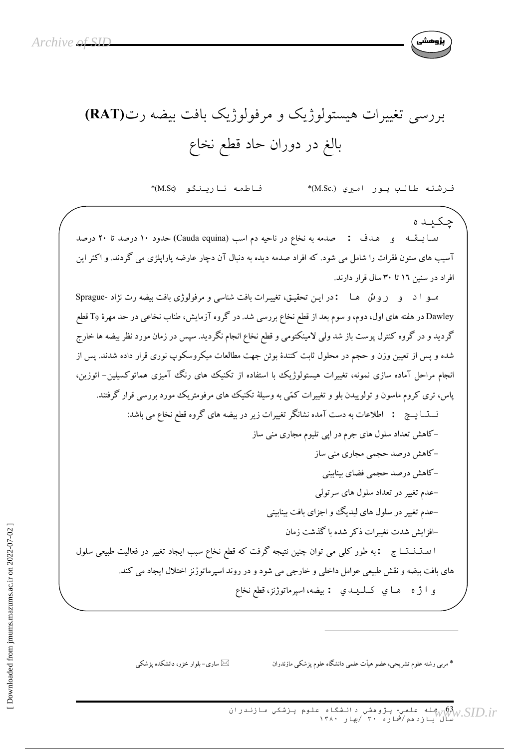

## بررسی تغییرات هیستولوژیک و مرفولوژیک بافت بیضه رت(RAT) بالغ در دوران حاد قطع نخاع

فاطمه تارينگو (M.Sc\*) فرشته طالب پور اميري (.M.Sc%)\*

چکید ه سابقه و هدف : صدمه به نخاع در ناحیه دم اسب (Cauda equina) حدود ١٠ درصد تا ٢٠ درصد آسیب های ستون فقرات را شامل می شود. که افراد صدمه دیده به دنبال آن دچار عارضه پاراپلژی می گردند. و اکثر این افراد در سنین ١٦ تا ٣٠ سال قرار دارند.

صو ا د و روش هـا : در ايـن تحقيـق، تغييـرات بافت شناسي و مرفولوژي بافت بيضه رت نژاد -Sprague Dawley در هفته های اول، دوم، و سوم بعد از قطع نخاع بررسی شد. در گروه آزمایش، طناب نخاعی در حد مهرهٔ وT قطع گردید و در گروه کنترل پوست باز شد ولی لامینکتومی و قطع نخاع انجام نگردید. سپس در زمان مورد نظر بیضه ها خارج شده و پس از تعیین وزن و حجم در محلول ثابت کنندهٔ بوئن جهت مطالعات میکروسکوپ نوری قرار داده شدند. پس از انجام مراحل آماده سازی نمونه، تغییرات هیستولوژیک با استفاده از تکنیک های رنگ آمیزی هماتوکسیلین- ائوزین، یاس، تری کروم ماسون و تولوییدن بلو و تغییرات کمّی به وسیلهٔ تکنیک های مرفومتریک مورد بررسی قرار گرفتند. نـــتـــا يـــج : اطلاعات به دست آمده نشانگر تغييرات زير در بيضه هاي گروه قطع نخاع مي باشد: –کاهش تعداد سلول های جرم در اپی تلیوم مجاری منی ساز -کاهش درصد حجمی مجاری منی ساز –کاهش در صد حجمی فضای ساسنی -عدم تغییر در تعداد سلول های سر تولی -عدم تغییر در سلول های لیدیگ و اجزای بافت بینابینی –افزايش شدت تغييرات ذكر شده با گذشت زمان ا ستـنـنـتـاج : به طور كلي مي توان چنين نتيجه گرفت كه قطع نخاع سبب ايجاد تغيير در فعاليت طبيعي سلول های بافت بیضه و نقش طبیعی عوامل داخلی و خارجی می شود و در روند اسپرماتوژنز اختلال ایجاد می کند. و ا ژه هاي كىلىيىد : بيضه، اسپرماتوژنز، قطع نخاع

ساری- بلوار خزر، دانشکده یزشکی $\boxtimes$ 

\* مربی رشته علوم تشریحی، عضو هیأت علمی دانشگاه علوم پزشکی مازندران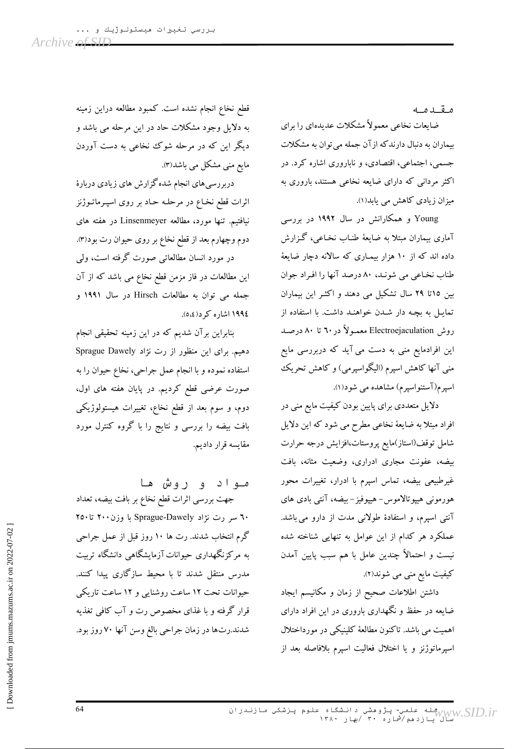مقدمه

ضایعات نخاعی معمولاً مشکلات عدیدهای را برای بیماران به دنبال دارندکه از آن جمله می توان به مشکلات جسمی، اجتماعی، اقتصادی، و ناباروری اشاره کرد. در اکثر مردانی که دارای ضایعه نخاعی هستند، باروری به میزان زیادی کاهش می یابد(۱).

Young و همکارانش در سال ۱۹۹۲ در بررسی آماری بیماران مبتلا به ضایعهٔ طنـاب نخـاعبی، گـزارش داده اند که از ۱۰ هزار بیمـاری که سالانه دچار ضایعهٔ طناب نخاعی می شونـد، ۸۰ درصد آنها را افـراد جوان بین ١٥تا ٢٩ سال تشكیل می دهند و اكثـر این بیماران تمایـل به بچـه دار شـدن خواهنـد داشت. با استفاده از روش Electroejaculation معمـولاً در ٦٠ تا ٨٠ درصـد این افرادمایع منی به دست می آید که دربررسی مایع منی آنها کاهش اسپرم (الیگواسپرمی) و کاهش تحریک اسپرم(آستنواسپرم) مشاهده می شود(۱).

دلایل متعددی برای پایین بودن کیفیت مایع منی در افراد مبتلا به ضایعهٔ نخاعی مطرح می شود که این دلایل شامل توقف(استاز)مايع پروستات،افزايش درجه حرارت بیضه، عفونت مجاری ادراری، وضعیت مثانه، بافت غیرطبیعی بیضه، تماس اسپرم با ادرار، تغییرات محور هورمونی هیپوتالاموس- هیپوفیز- بیضه، آنتی بادی های آنتی اسپرم، و استفادهٔ طولانی مدت از دارو می باشد. عملکرد هر کدام از این عوامل به تنهایی شناخته شده نیست و احتمالاً چندین عامل با هم سبب پایین آمدن کیفیت مایع منی می شوند(۲).

داشتن اطلاعات صحيح از زمان و مكانيسم ايجاد ضایعه در حفظ و نگهداری باروری در این افراد دارای اهمیت می باشد. تاکنون مطالعهٔ کلینیکی در مورداختلال اسپرماتوژنز و یا اختلال فعالیت اسپرم بلافاصله بعد از

قطع نخاع انجام نشده است. کمبود مطالعه دراین زمینه به دلایل وجود مشکلات حاد در این مرحله می باشد و دیگر این که در مرحله شوک نخاعی به دست آوردن مایع منی مشکل می باشد(۳).

دربررسی های انجام شده گزارش های زیادی دربارهٔ اثرات قطع نخـاع در مرحلـه حـاد بر روی اسپـرماتـوژنز نیافتیم. تنها مورد، مطالعه Linsenmeyer در هفته های دوم وچهارم بعد از قطع نخاع بر روی حیوان رت بود(٣). در مورد انسان مطالعاتی صورت گرفته است، ولی

این مطالعات در فاز مزمن قطع نخاع می باشد که از آن جمله می توان به مطالعات Hirsch در سال ۱۹۹۱ و ١٩٩٤ اشاره کر د(٤،٥).

بنابراین برآن شدیم که در این زمینه تحقیقی انجام دهیم. برای این منظور از رت نژاد Sprague Dawely استفاده نموده و با انجام عمل جراحی، نخاع حیوان را به صورت عرضی قطع کردیم. در پایان هفته های اول، دوم، و سوم بعد از قطع نخاع، تغییرات هیستولوژیکی بافت بیضه را بررسی و نتایج را با گروه کنترل مورد مقايسه قرار داديم.

مواد و روش ها جهت بررسی اثرات قطع نخاع بر بافت بیضه، تعداد ٦٠ سر رت نژاد Sprague-Dawely با وزن ٢٠٠ تا ٢٥٠ گرم انتخاب شدند. رت ها ۱۰ روز قبل از عمل جراحی به مرکزنگهداری حیوانات آزمایشگاهی دانشگاه تربیت مدرس منتقل شدند تا با محیط سازگاری پیدا کنند. حیوانات تحت ۱۲ ساعت روشنایی و ۱۲ ساعت تاریکی قرار گرفته و با غذای مخصوص رت و آب کافی تغذیه شدند.رتها در زمان جراحي بالغ وسن آنها ٧٠ روز بود.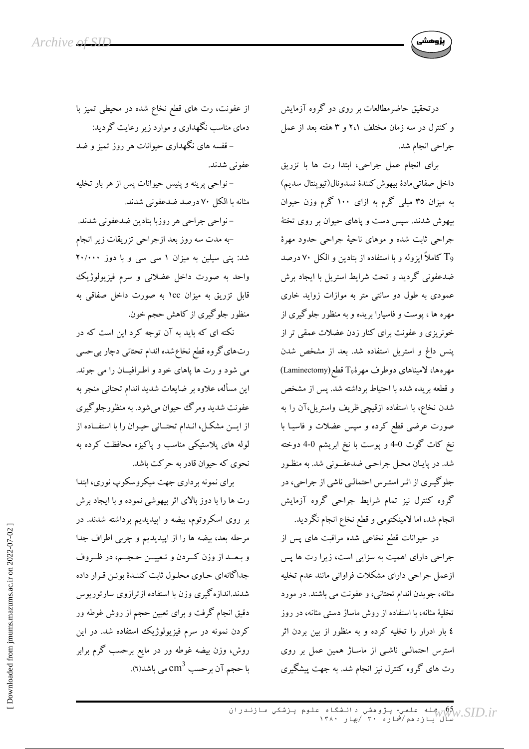درتحقیق حاضرمطالعات بر روی دو گروه آزمایش و کنترل در سه زمان مختلف ۲،۱ و ۳ هفته بعد از عمل جراحي انجام شد.

برای انجام عمل جراحی، ابتدا رت ها با تزریق داخل صفاتي مادة بيهوش كنندة نسدونال(تيوينتال سديم) به میزان ۳۵ میلی گرم به ازای ۱۰۰ گرم وزن حیوان بیهوش شدند. سپس دست و پاهای حیوان بر روی تختهٔ جراحی ثابت شده و موهای ناحیهٔ جراحی حدود مهرهٔ وT کاملاً ایزوله و با استفاده از بتادین و الکل ۷۰ درصد ضدعفونی گردید و تحت شرایط استریل با ایجاد برش عمودی به طول دو سانتی متر به موازات زواید خاری مهره ها ، پوست و فاسیارا بریده و به منظور جلوگیری از خونریزی و عفونت برای کنار زدن عضلات عمقی تر از پنس داغ و استریل استفاده شد. بعد از مشخص شدن مهرهها، لامیناهای دوطرف مهرهٔ19 قطع(Laminectomy) و قطعه بریده شده با احتیاط برداشته شد. پس از مشخص شدن نخاع، با استفاده ازقیچی ظریف واستریل،آن را به صورت عرضی قطع کرده و سپس عضلات و فاسیـا با نخ کات گوت 0-4 و پوست با نخ ابریشم 0-4 دوخته شد. در پایان محل جراحی ضدعفونی شد. به منظور جلوگیری از اثر استرس احتمالی ناشی از جراحی، در گروه کنترل نیز تمام شرایط جراحی گروه آزمایش انجام شد، اما لامینکتومی و قطع نخاع انجام نگردید.

در حیوانات قطع نخاعی شده مراقبت های پس از جراحی دارای اهمیت به سزایی است، زیرا رت ها پس ازعمل جراحي داراي مشكلات فراواني مانند عدم تخليه مثانه، جویدن اندام تحتانبی، و عفونت می باشند. در مورد تخلیهٔ مثانه، با استفاده از روش ماساژ دستی مثانه، در روز ٤ بار ادرار را تخلیه کرده و به منظور از بین بردن اثر استرس احتمالی ناشبی از ماساژ همین عمل بر روی رت های گروه کنترل نیز انجام شد. به جهت پیشگیری

از عفونت، رت های قطع نخاع شده در محیطی تمیز با دمای مناسب نگهداری و موارد زیر رعایت گردید:

– قفسه های نگهداری حیوانات هر روز تمیز و ضد عفوني شدند.

–نواحی پرینه و پنیس حیوانات پس از هر بار تخلیه مثانه با الکل ۷۰ درصد ضدعفونی شدند.

- نواحي جراحي هر روزبا بتادين ضدعفوني شدند. -به مدت سه روز بعد ازجراحی تزریقات زیر انجام شد: پنی سیلین به میزان ۱ سی سی و با دوز ۲۰/۰۰۰ واحد به صورت داخل عضلانی و سرم فیزیولوژیک قابل تزریق به میزان ١cc به صورت داخل صفاقی به منظور جلوگیری از کاهش حجم خون.

نکته ای که باید به آن توجه کرد این است که در رتهای گروه قطع نخاع شده اندام تحتانی دچار بی حسی می شود و رت ها پاهای خود و اطرافیــان را می جوند. این مسأله، علاوه بر ضایعات شدید اندام تحتانی منجر به عفونت شدید ومرگ حیوان می شود. به منظورجلوگیری از ایــن مشکـل، انـدام تحتــانی حیـوان را با استفــاده از لوله های پلاستیکی مناسب و پاکیزه محافظت کرده به نحوی که حیوان قادر به حرکت باشد.

برای نمونه برداری جهت میکروسکوپ نوری، ابتدا رت ها را با دوز بالای اثر بیهوشی نموده و با ایجاد برش بر روی اسکروتوم، بیضه و اپیدیدیم برداشته شدند. در مرحله بعد، بیضه ها را از اپیدیدیم و چربی اطراف جدا و بعــد از وزن كــردن و تـعييــن حـجــم، در ظــروف جداگانهای حـاوی محلـول ثابت کننـدهٔ بوئـن قـرار داده شدند.اندازه گیری وزن با استفاده ازترازوی سارتوریوس دقیق انجام گرفت و برای تعیین حجم از روش غوطه ور کردن نمونه در سرم فیزیولوژیک استفاده شد. در این روش، وزن بیضه غوطه ور در مایع برحسب گرم برابر با حجم آن برحسب C $\mathrm{m}^{3}$  می باشد(٦).

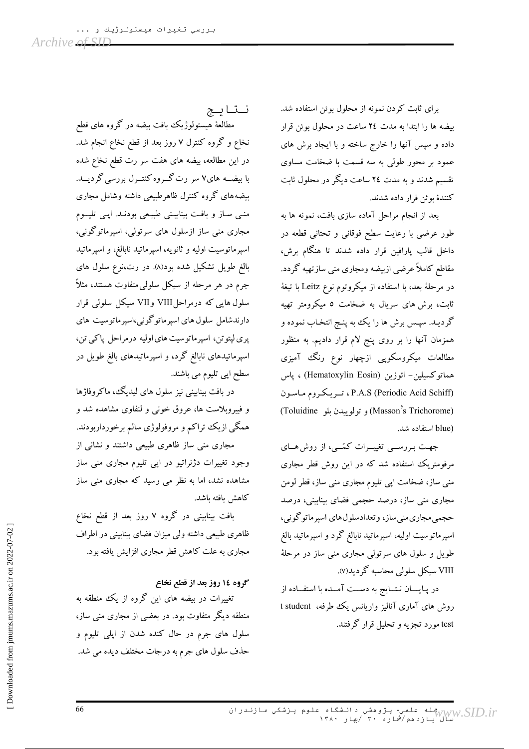برای ثابت کردن نمونه از محلول بوئن استفاده شد. بیضه ها را ابتدا به مدت ٢٤ ساعت در محلول بوئن قرار داده و سپس آنها را خارج ساخته و با ایجاد برش های عمود بر محور طولی به سه قسمت با ضخامت مساوی تقسیم شدند و به مدت ٢٤ ساعت دیگر در محلول ثابت كنندهٔ بوئن قرار داده شدند.

بعد از انجام مراحل آماده سازی بافت، نمونه ها به طور عرضی با رعایت سطح فوقانی و تحتانی قطعه در داخل قالب پارافین قرار داده شدند تا هنگام برش، مقاطع کاملاً عرضی ازبیضه ومجاری منی سازتهیه گردد. در مرحلهٔ بعد، با استفاده از میکروتوم نوع Leitz با تیغهٔ ثابت، برش های سریال به ضخامت ٥ میکرومتر تهیه گردیـد. سپـس برش ها را یک به پنـج انتخـاب نموده و همزمان آنها را بر روی پنج لام قرار دادیم. به منظور مطالعات میکروسکویی ازچهار نوع رنگ آمیزی هماتوكسيلين- ائوزين (Hematoxylin Eosin) ، پاس P.A.S (Periodic Acid Schiff)، تريكروم ماسون (Masson's Trichorome) و تولوییدن بلو (Toluidine (blue استفاده شد.

جهت بررسـی تغییــرات کمّــی، از روش هــای مرفومتریک استفاده شد که در این روش قطر مجاری منی ساز، ضخامت اپی تلیوم مجاری منبی ساز، قطر لومن مجاری منی ساز، درصد حجمی فضای بینابینی، درصد حجمي مجاري مني ساز، و تعدادسلول هاي اسپرماتوگوني، اسپرماتوسیت اولیه، اسپرماتید نابالغ گرد و اسپرماتید بالغ طویل و سلول های سرتولی مجاری منی ساز در مرحلهٔ VIII سیکل سلولی محاسبه گردید(۷).

در پـایــــان نـتـــایج به دســت آمـــده با استفــاده از روش های آماری آنالیز واریانس یک طرفه، t student test مورد تجزیه و تحلیل قرار گرفتند.

نتايج

مطالعهٔ هیستولوژیک بافت بیضه در گروه های قطع نخاع و گروه کنترل ۷ روز بعد از قطع نخاع انجام شد. در این مطالعه، بیضه های هفت سر رت قطع نخاع شده با بیضــه های۷ سر رت گـــروه کنتـــرل بررسی گردیـــد. بيضههاى گروه كنترل ظاهرطبيعي داشته وشامل مجارى منبی ساز و بافت بینابیـنی طبیـعی بودنـد. اپـی تلیــوم مجاری منی ساز ازسلول های سرتولی، اسپرماتوگونی، اسپرماتوسیت اولیه و ثانویه، اسپرماتید نابالغ، و اسپرماتید بالغ طویل تشکیل شده بود(۸). در رت،نوع سلول های جرم در هر مرحله از سیکل سلولییمتفاوت هستند، مثلاً سلول هایی که درمراحلVIII و VII سیکل سلولی قرار دارندشامل سلول های اسپرماتوگونی،اسپرماتوسیت های پری لپتوتن، اسپرماتوسیت های اولیه درمراحل پاکی تن، اسپرماتیدهای نابالغ گرد، و اسپرماتیدهای بالغ طویل در سطح اپی تلیوم می باشند.

در بافت بینابینی نیز سلول های لیدیگ، ماکروفاژها و فیبروبلاست ها، عروق خونبی و لنفاوی مشاهده شد و همگی ازیک تراکم و مروفولوژی سالم برخورداربودند.

مجاری منی ساز ظاهری طبیعی داشتند و نشانی از وجود تغییرات دژنراتیو در اپی تلیوم مجاری منی ساز مشاهده نشد، اما به نظر می رسید که مجاری منی ساز كاهش يافته باشد.

بافت بینابینی در گروه ۷ روز بعد از قطع نخاع ظاهری طبیعی داشته ولی میزان فضای بینابینی در اطراف مجاری به علت کاهش قطر مجاری افزایش یافته بود.

## گروه ١٤ روز بعد از قطع نخاع

تغییرات در بیضه های این گروه از یک منطقه به منطقه دیگر متفاوت بود. در بعضی از مجاری منی ساز، سلول های جرم در حال کنده شدن از اپلی تلیوم و حذف سلول های جرم به درجات مختلف دیده می شد.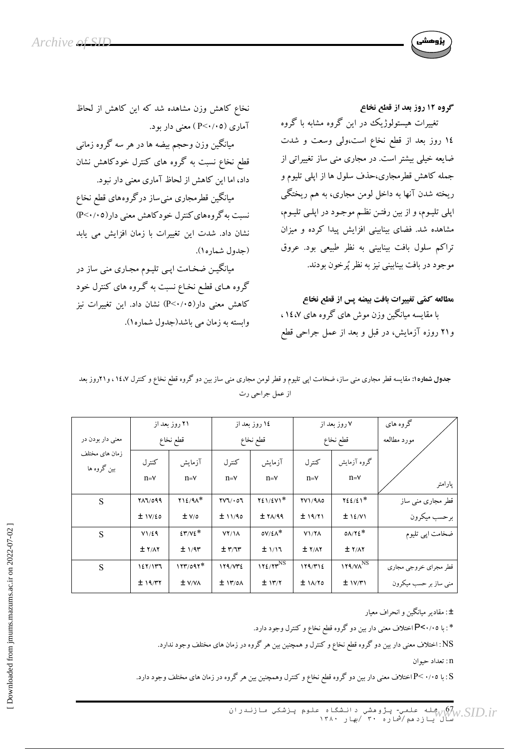

گروه ۱۲ روز بعد از قطع نخاع تغییرات هیستولوژیک در این گروه مشابه با گروه

۱٤ روز بعد از قطع نخاع است،ولی وسعت و شدت ضایعه خیلی بیشتر است. در مجاری منی ساز تغییراتی از جمله کاهش قطرمجاری،حذف سلول ها از اپلی تلیوم و ریخته شدن آنها به داخل لومن مجاری، به هم ریختگی اپلی تلیـوم، و از بین رفتـن نظـم موجـود در اپلـی تلیـوم، مشاهده شد. فضای بینابینی افزایش پیدا کرده و میزان تراکم سلول بافت بینابینی به نظر طبیعی بود. عروق موجود در بافت بينابيني نيز به نظر پُرخون بودند.

مطالعه كمّى تغييرات بافت بيضه پس از قطع نخاع با مقایسه میانگین وزن موش های گروه های ۱٤،۷، و۲۱ روزه آزمایش، در قبل و بعد از عمل جراحی قطع

نخاع کاهش وزن مشاهده شد که این کاهش از لحاظ آماری (P<۰/۰۵) معنی دار بود.

میانگین وزن وحجم بیضه ها در هر سه گروه زمانبی قطع نخاع نسبت به گروه های کنترل خودکاهش نشان داد، اما این کاهش از لحاظ آماری معنی دار نبود.

میانگین قطرمجاری منی ساز درگروههای قطع نخاع نسبت به گروههای کنترل خودکاهش معنی دار(۲۰/۰۵) نشان داد. شدت این تغییرات با زمان افزایش می یابد (جدول شماره).

میانگیـن ضخـامت اپـی تلیـوم مجـاری منی ساز در گروه هـای قطـع نخـاع نسبت به گـروه های کنترل خود کاهش معنی دار(P<۰/۰٥) نشان داد. این تغییرات نیز وابسته به زمان می باشد(جدول شماره۱).

جدول شماره۱: مقایسه قطر مجاری منی ساز، ضخامت اپی تلیوم و قطر لومن مجاری منی ساز بین دو گروه قطع نخاع و کنترل ۱٤،۷ ، و۲۱روز بعد از عمل جراحي رت

|                               | ۲۱ روز بعد از |                  | ۱٤ روز بعد از       |                      | ۷ روز بعد از   |                               | گروه های              |
|-------------------------------|---------------|------------------|---------------------|----------------------|----------------|-------------------------------|-----------------------|
| معني دار بودن در              | قطع نخاع      |                  | قطع نخاع            |                      | قطع نخاع       |                               | مورد مطالعه           |
| زمان های مختلف<br>بین گروه ها | كنترل         | آزمايش           | كنترل               | آزمايش               | كنترل          | گروه آزمایش                   |                       |
|                               | $n = v$       | $n = v$          | $n = v$             | $n = v$              | $n = v$        | $n = v$                       | پارامتر               |
| S                             | 717/099       | $Y12/9A*$        | $YV1/\cdot 01$      | 721/2V1*             | <b>YV1/910</b> | $YZE/Z1*$                     | قطر مجاری منبی ساز    |
|                               | ± IV/£O       | ± v/o            | ±11/90              | ± Y <sub>Λ</sub> /99 | ± 19/71        | $±$ 1٤/V1                     | برحسب میکرون          |
| S                             | V1/E9         | $EY/VE^*$        | $YY/\lambda$        | $OVI^*$              | V1/Y           | $0\Lambda/\Upsilon\epsilon^*$ | ضخامت اپی تلیوم       |
|                               | ± Y/AY        | $± 1/9$ ۳        | $\pm$ ۳/٦٣          | ±1/17                | ± Y/AY         | ± Y/AY                        |                       |
| S                             | 127/117       | $157/097*$       | 179/VT2             | $172/7r^{NS}$        | 179/T12        | <b>ITA/VANS</b>               | قطر مجراي خروجي مجاري |
|                               | ± 19/77       | ± V <sub>1</sub> | $±$ $\frac{1}{100}$ | ± 117/7              | $±1$ $N$       | $±$ $1V/T1$                   | منی ساز بر حسب میکرون |

±: مقادیر میانگین و انحراف معیار

\* : با P<۰/۰٥اختلاف معنى دار بين دو گروه قطع نخاع و كنترل وجود دارد.

NS: اختلاف معنی دار بین دو گروه قطع نخاع و کنترل و همچنین بین هر گروه در زمان های مختلف وجود ندارد.

n: تعداد حيوان

S : با ۰/۰۵-P اختلاف معنی دار بین دو گروه قطع نخاع و کنترل وهمچنین بین هر گروه در زمان های مختلف وجود دارد.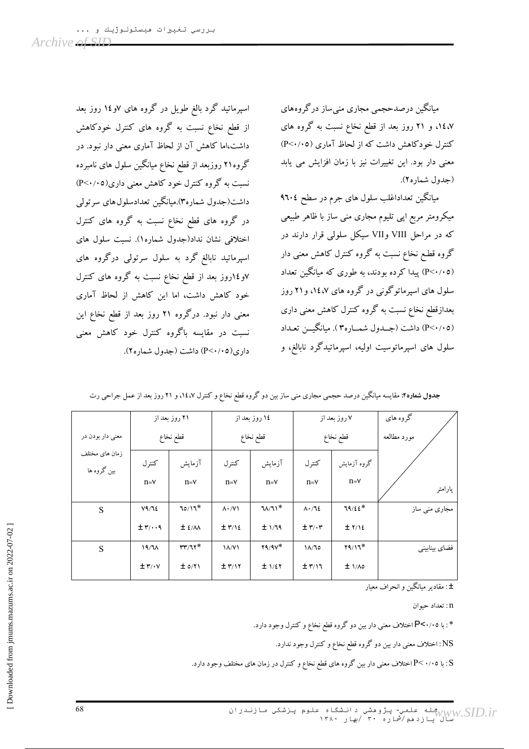اسپرماتید گرد بالغ طویل در گروه های ۷و۱۶ روز بعد از قطع نخاع نسبت به گروه های کنترل خودکاهش داشت،اما کاهش آن از لحاظ آماری معنی دار نبود. در گروه۲۱ روزبعد از قطع نخاع میانگین سلول های نامبرده نسبت به گروه کنترل خود کاهش معنی داری(۶۰/۰۵) داشت(جدول شماره۳).میانگین تعدادسلولهای سرتولی در گروه های قطع نخاع نسبت به گروه های کنترل اختلافی نشان نداد(جدول شماره۱). نسبت سلول های اسپرماتید نابالغ گرد به سلول سرتولی درگروه های ۷و ۱۶روز بعد از قطع نخاع نسبت به گروه های کنترل خود کاهش داشت، اما این کاهش از لحاظ آماری معنی دار نبود. درگروه ۲۱ روز بعد از قطع نخاع این نسبت در مقایسه باگروه کنترل خود کاهش معنی داری(P<۰/۰۵) داشت (جدول شماره۲). میانگین درصدحجمی مجاری منی ساز درگر وههای ۱٤،۷، و ۲۱ روز بعد از قطع نخاع نسبت به گروه های کنترل خودکاهش داشت که از لحاظ آماری (P<۰/۰۵) معنی دار بود. این تغییرات نیز با زمان افزایش می یابد (حدول شماره ۲).

میانگین تعداداغلب سلول های جرم در سطح ۹٦۰٤ میکرومتر مربع اپی تلیوم مجاری منی ساز با ظاهر طبیعی که در مراحل VIII وVII سیکل سلولی قرار دارند در گروه قطـع نخاع نسبت به گروه کنترل کاهش معنی دار (P<۰/۰۵) پیدا کرده بودند، به طوری که میانگین تعداد سلول های اسپرماتوگونی در گروه های ۱٤،۷، و۲۱ روز بعدازقطع نخاع نسبت به گروه کنترل کاهش معنی داری (P<۰/۰۵) داشت (جــدول شمــاره۳). میانگیــن تعـداد سلول های اسپرماتوسیت اولیه، اسپرماتیدگرد نابالغ، و

|                               | ۲۱ روز بعد از         |            | ۱٤ روز بعد از      |                   | ۷ روز بعد از              |              | گروه های      |
|-------------------------------|-----------------------|------------|--------------------|-------------------|---------------------------|--------------|---------------|
| معني دار بودن در              | قطع نخاع              |            | قطع نخاع           |                   | قطع نخاع                  |              | مورد مطالعه   |
| زمان های مختلف<br>بین گروه ها | كنترل                 | آزمايش     | كنترل              | آزمايش            | كنترل                     | گروه آزمایش  |               |
|                               | $n = v$               | $n = v$    | $n = v$            | $n = v$           | $n = v$                   | $n = v$      | پارامتر       |
| S                             | V9/T2                 | $70/17*$   | $\Lambda \cdot /V$ | $U/\mathcal{U}^*$ | $\Lambda \cdot / \Lambda$ | $79/22*$     | مجاری منی ساز |
|                               | $\pm$ ۳/ $\cdot$ . 9  | $±$ {/ $M$ | $± \tau/12$        | ±1/19             | $\pm \tau/\cdot \tau$     | ± 7/12       |               |
| S                             | 19/7 <sub>A</sub>     | $rr/77*$   | $\lambda/\gamma$   | $Y9/9V^*$         | $1/\sqrt{2}$              | $Y9/11*$     | فضاي بينابيني |
|                               | $\pm \tau/\cdot \tau$ | ± o/Y      | $± \tau/17$        | ± 1/27            | $± \frac{\pi}{12}$        | $± \sqrt{2}$ |               |

جدول شماره۲: مقایسه میانگین درصد حجمی مجاری منی ساز بین دو گروه قطع نخاع و کنترل ۱٤،۷، و ۲۱ روز بعد از عمل جراحی رت

±: مقادير ميانگين و انحراف معيار

n : تعداد حيوان

\* : با P<۰/۰٥ اختلاف معنى دار بين دو گروه قطع نخاع و كنترل وجود دارد.

NS: اختلاف معنی دار بین دو گروه قطع نخاع و کنترل وجود ندارد.

S : با ۰/۰⊃Pاختلاف معنی دار بین گروه های قطع نخاع و کنترل در زمان های مختلف وجود دارد.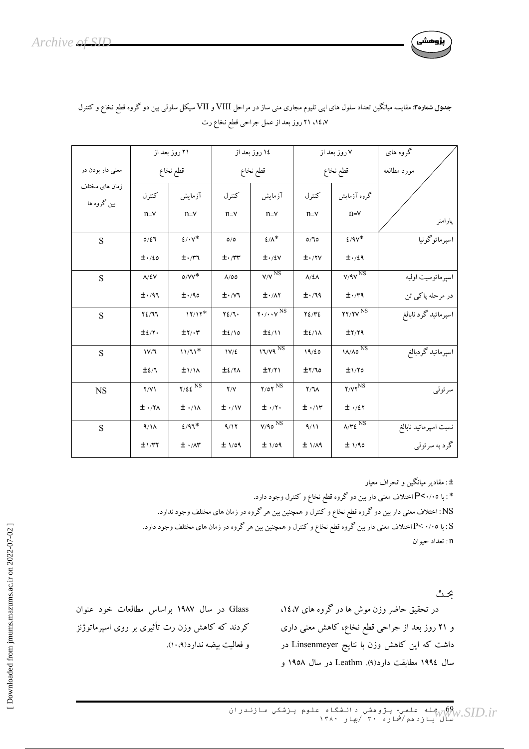

|                               | ۲۱ روز بعد از       |                                  | ۱٤ روز بعد از            |                                                                      | ۷ روز بعد از                   |                                        | گروه های              |
|-------------------------------|---------------------|----------------------------------|--------------------------|----------------------------------------------------------------------|--------------------------------|----------------------------------------|-----------------------|
| معنی دار بودن در              | قطع نخاع            |                                  | قطع نخاع                 |                                                                      | قطع نخاع                       |                                        | مورد مطالعه           |
| زمان های مختلف<br>بین گروه ها | كنترل               | آزمايش                           | كنترل                    | آزمايش                                                               | كنترل                          | گروه آزمایش                            |                       |
|                               | $n = v$             | $n = v$                          | $n = v$                  | $n = v$                                                              | $n = v$                        | $n = v$                                | پارامتر               |
| S                             | 0/27                | $2/\cdot V^*$                    | O/O                      | $\mathcal{L}/\Lambda^*$                                              | O/TO                           | $2/9V^*$                               | اسپرماتوگونیا         |
|                               | $\pm \cdot 120$     | $\pm \cdot$ /۳٦                  | $\pm \cdot$ /٣٣          | $\pm \cdot 15$                                                       | $\pm$ $\cdot$ / $\cdot$ $\vee$ | $\pm$ ./29                             |                       |
| S                             | $\Lambda/\Sigma V$  | $0/VV^*$                         | $\Lambda$ /00            | $V/V$ <sup>NS</sup>                                                  | $\Lambda/\Sigma\Lambda$        | $V/9V$ <sup>NS</sup>                   | اسپرماتوسیت اولیه     |
|                               | $\pm$ $\cdot$ /97   | $\pm$ ./90                       | $\pm \cdot$ / $\sqrt{1}$ | $\pm$ $\cdot$ / $\wedge$ $\tau$                                      | $\pm$ ./19                     | $\pm \cdot$ /۳۹                        | در مرحله پاکی تن      |
| S                             | YZ/T                | $11/11*$                         | YZ/T                     | $\mathbf{Y} \cdot / \cdot \cdot \mathbf{V}^{\overline{\mathrm{NS}}}$ | YZ/YZ                          | $YY/YY$ <sup>NS</sup>                  | اسپرماتيد گرد نابالغ  |
|                               | $\pm$ 2/ $\gamma$ . | $\pm \Upsilon/\cdot \Upsilon$    | $\pm$ 2/10               | $\pm$ 2/11                                                           | $\pm$ 2/11                     | ±7/79                                  |                       |
| S                             | 1V/T                | $11/11*$                         | $1V/\xi$                 | $17/\gamma 9$ <sup>NS</sup>                                          | 19/20                          | $1/\sqrt{\Lambda_0}$ NS                | اسپرماتيد گردبالغ     |
|                               | $\pm$ 2/7           | $\pm$ 1/14                       | $\pm$ 2/7 $\land$        | $\pm \Upsilon/\Upsilon$                                              | ±Y/10                          | ±1/70                                  |                       |
| <b>NS</b>                     | Y/Y                 | $Y/\xi \xi$ <sup>NS</sup>        | Y/Y                      | $Y/OY$ <sup>NS</sup>                                                 | Y/T                            | $Y/YY$ <sup>NS</sup>                   | سرتولى                |
|                               | $± \cdot$ /۲۸       | $\pm$ $\cdot$ / $\wedge$         | $± \cdot/$ \/ \          | $\pm$ ./۲.                                                           | $\pm$ $\cdot$ / $\cdot$        | $±.$ /٤٢                               |                       |
| ${\bf S}$                     | $4/\lambda$         | $2/97*$                          | 9/17                     | $V/90$ <sup>NS</sup>                                                 | 9/11                           | $\Lambda/\Upsilon\epsilon^\mathrm{NS}$ | نسبت اسپرماتيد نابالغ |
|                               | $\pm 1/\tau$        | $\pm$ $\cdot$ / $\wedge$ $\star$ | $± \sqrt{0}$             | $± \sqrt{0}$                                                         | $± \frac{1}{4}$                | $± \sqrt{40}$                          | گرد به سرتولبي        |

جدول شماره۳: مقایسه میانگین تعداد سلول های اپی تلیوم مجاری منی ساز در مراحل VIII و VII سیکل سلولی بین دو گروه قطع نخاع و کنترل ١٤،٧ ٢١ روز بعد از عمل جراحي قطع نخاع رت

±: مقادیر میانگین و انحراف معیار

\* : با P<۰/۰۵ اختلاف معنی دار بین دو گروه قطع نخاع و کنترل وجود دارد. NS: اختلاف معنی دار بین دو گروه قطع نخاع و کنترل و همچنین بین هر گروه در زمان های مختلف وجود ندارد. S : با 0⋅/ ∙P< اختلاف معنی دار بین گروه قطع نخاع و کنترل و همچنین بین هر گروه در زمان های مختلف وجود دارد. n : تعداد حـوان

ىحث

در تحقیق حاضر وزن موش ها در گروه های ۱٤،۷، و ۲۱ روز بعد از جراحی قطع نخاع، کاهش معنی داری داشت که این کاهش وزن با نتایج Linsenmeyer در سال ۱۹۹٤ مطابقت دارد(۹). Leathm در سال ۱۹۵۸ و

Glass در سال ۱۹۸۷ براساس مطالعات خود عنوان کردند که کاهش وزن رت تأثیری بر روی اسپرماتوژنز و فعاليت بيضه ندارد(١٠،٩).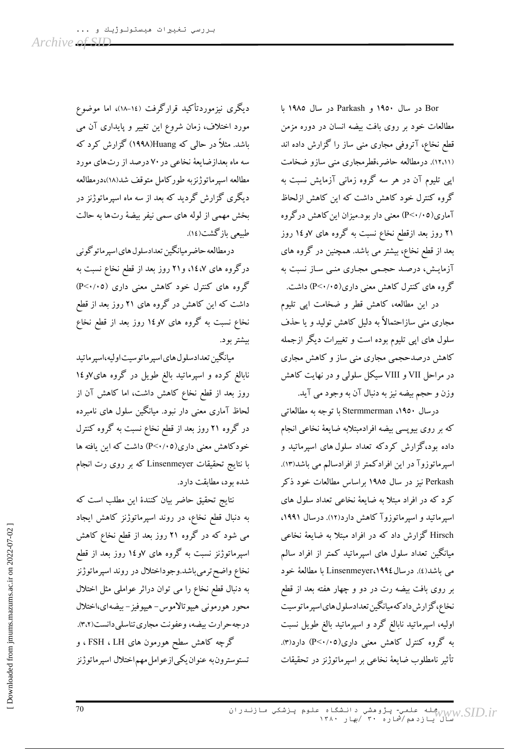Bor در سال ۱۹۵۰ و Parkash در سال ۱۹۸۵ با مطالعات خود بر روى بافت بيضه انسان در دوره مزمن قطع نخاع، آتروفی مجاری منی ساز را گزارش داده اند (۱۲،۱۱). درمطالعه حاضر،قطرمجاری منبی سازو ضخامت ایی تلیوم آن در هر سه گروه زمانی آزمایش نسبت به گروه کنترل خود کاهش داشت که این کاهش ازلحاظ آماری(۵۰/۱۰) معنی دار بود.میزان این کاهش درگروه ۲۱ روز بعد ازقطع نخاع نسبت به گروه های ۷و١٤ روز بعد از قطع نخاع، بیشتر می باشد. همچنین در گروه های آزمایش، درصد حجمی مجاری منبی ساز نسبت به گروه های کنترل کاهش معنی داری(P<۰/۰۵) داشت.

در این مطالعه، کاهش قطر و ضخامت اپی تلیوم مجاری منی سازاحتمالاً به دلیل کاهش تولید و یا حذف سلول های اپی تلیوم بوده است و تغییرات دیگر ازجمله کاهش درصدحجمی مجاری منی ساز و کاهش مجاری در مراحل VII و VIII سیکل سلولی و در نهایت کاهش وزن و حجم بيضه نيز به دنبال آن به وجود مي آيد.

درسال ١٩٥٠، Stermmerman با توجه به مطالعاتي که بر روی بیوپسی بیضه افرادمبتلابه ضایعهٔ نخاعی انجام داده بود،گزارش کردکه تعداد سلول های اسپرماتید و اسپرماتوزوآ در این افرادکمتر از افرادسالم می باشد(۱۳). Perkash نیز در سال ۱۹۸۵ براساس مطالعات خود ذکر کرد که در افراد مبتلا به ضایعهٔ نخاعی تعداد سلول های اسپرماتید و اسپرماتوزوآ کاهش دارد(۱۲). درسال ۱۹۹۱، Hirsch گزارش داد که در افراد مبتلا به ضایعهٔ نخاعی میانگین تعداد سلول های اسپرماتید کمتر از افراد سالم می باشد(٤). درسال ۱۹۹٤،Linsenmeyer با مطالعهٔ خود بر روی بافت بیضه رت در دو و چهار هفته بعد از قطع نخاع،گزارش دادكه میانگین تعدادسلول های اسپرماتوسیت اولیه، اسپرماتید نابالغ گرد و اسپرماتید بالغ طویل نسبت به گروه کنترل کاهش معنی داری(۴/۰۵-۹) دارد(۳). تأثير نامطلوب ضايعهٔ نخاعي بر اسپرماتوژنز در تحقيقات

دیگری نیزموردتأکید قرارگرفت (۱٤–۱۸)، اما موضوع مورد اختلاف، زمان شروع این تغییر و پایداری آن می باشد. مثلاً در حالی که Huang(۱۹۹۸) گزارش کرد که سه ماه بعدازضایعهٔ نخاعی در ۷۰ درصد از رتهای مورد مطالعه اسيرماتوژنزبه طوركامل متوقف شد(١٨)،درمطالعه دیگری گزارش گردید که بعد از سه ماه اسپرماتوژنز در بخش مهمی از لوله های سمی نیفر بیضهٔ رتها به حالت طبیعی بازگشت(١٤).

درمطالعه حاضرميانگين تعدادسلول هاي اسپرماتوگوني درگروه های ۱٤،۷، و۲۱ روز بعد از قطع نخاع نسبت به گروه های کنترل خود کاهش معنی داری (P<۰/۰۵) داشت که این کاهش در گروه های ۲۱ روز بعد از قطع نخاع نسبت به گروه های ۷و ۱۶ روز بعد از قطع نخاع بيشتر بود.

ميانگين تعدادسلول هاي اسپرماتوسيت اوليه،اسپرماتيد نابالغ کرده و اسپرماتید بالغ طویل در گروه های ⁄او ١٤ روز بعد از قطع نخاع کاهش داشت، اما کاهش آن از لحاظ آماری معنی دار نبود. میانگین سلول های نامبرده در گروه ۲۱ روز بعد از قطع نخاع نسبت به گروه کنترل خودکاهش معنی داری(P<۰/۰۵) داشت که این یافته ها با نتایج تحقیقات Linsenmeyer که بر روی رت انجام شده بود، مطابقت دارد.

نتايج تحقيق حاضر بيان كنندة اين مطلب است كه به دنبال قطع نخاع، در روند اسپرماتوژنز کاهش ایجاد می شود که در گروه ۲۱ روز بعد از قطع نخاع کاهش اسپرماتوژنز نسبت به گروه های ۷و۱۶ روز بعد از قطع نخاع واضح ترمي باشد.وجوداختلال در روند اسپرماتوژنز به دنبال قطع نخاع را می توان دراثر عواملی مثل اختلال محور هورموني هيپوتالاموس- هيپوفيز-بيضه اى،اختلال درجه حرارت بيضه، وعفونت مجاري تناسلي دانست(٣،٢). گرچه کاهش سطح هورمون های ESH ، LH ، و تستوسترون به عنوان يكي|زعوامل مهم|ختلال اسپرماتوژنز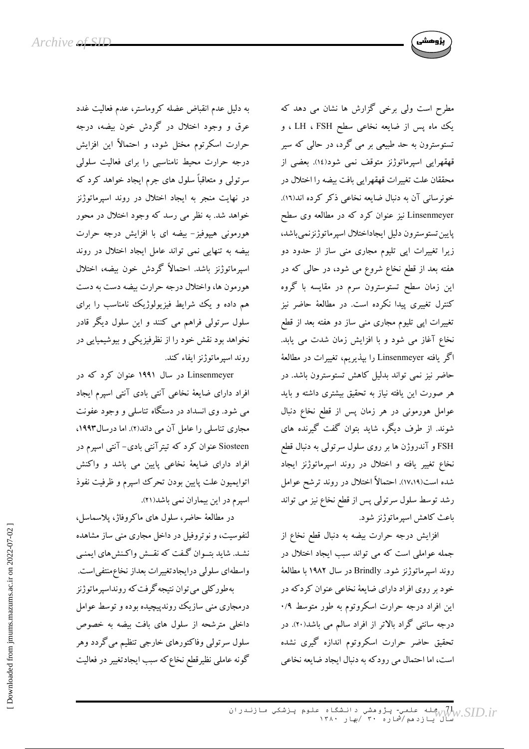

مطرح است ولی برخی گزارش ها نشان می دهد که یک ماه پس از ضایعه نخاعی سطح LH ، FSH ، و تستوسترون به حد طبیعی بر می گرد، در حالی که سیر قهقهرایی اسپرماتوژنز متوقف نمی شود(١٤). بعضی از محققان علت تغييرات قهقهرايي بافت بيضه را اختلال در خونرسانی آن به دنبال ضایعه نخاعی ذکر کرده اند(١٦). Linsenmeyer نیز عنوان کرد که در مطالعه وی سطح پايين تستوسترون دليل ايجاداختلال اسپرماتوژنزنمي باشد، زیرا تغییرات اپی تلیوم مجاری منی ساز از حدود دو هفته بعد از قطع نخاع شروع می شود، در حالی که در این زمان سطح تستوسترون سرم در مقایسه با گروه کنترل تغییری پیدا نکرده است. در مطالعهٔ حاضر نیز تغییرات اپی تلیوم مجاری منی ساز دو هفته بعد از قطع نخاع آغاز می شود و با افزایش زمان شدت می یابد. اگر یافته Linsenmeyer را بپذیریم، تغییرات در مطالعهٔ حاضر نیز نمی تواند بدلیل کاهش تستوسترون باشد. در هر صورت این یافته نیاز به تحقیق بیشتری داشته و باید عوامل هورمونی در هر زمان پس از قطع نخاع دنبال شوند. از طرف دیگر، شاید بتوان گفت گیرنده های FSH و آندروژن ها بر روی سلول سرتولی به دنبال قطع نخاع تغییر یافته و اختلال در روند اسپرماتوژنز ایجاد شده است(۱۷،۱۹). احتمالاً اختلال در روند ترشح عوامل رشد توسط سلول سرتولی پس از قطع نخاع نیز می تواند باعث كاهش اسپرماتوژنز شود.

افزایش درجه حرارت بیضه به دنبال قطع نخاع از جمله عواملی است که می تواند سبب ایجاد اختلال در روند اسپرماتوژنز شود. Brindly در سال ۱۹۸۲ با مطالعهٔ خود بر روی افراد دارای ضایعهٔ نخاعی عنوان کردکه در این افراد درجه حرارت اسکروتوم به طور متوسط ۰/۹ درجه سانتی گراد بالاتر از افراد سالم می باشد(۲۰). در تحقیق حاضر حرارت اسکروتوم اندازه گیری نشده است، اما احتمال می رودکه به دنبال ایجاد ضایعه نخاعی

به دلیل عدم انقباض عضله کروماستر، عدم فعالیت غدد عرق و وجود اختلال در گردش خون بیضه، درجه حرارت اسکرتوم مختل شود، و احتمالاً این افزایش درجه حرارت محیط نامناسبی را برای فعالیت سلولی سرتولي و متعاقباً سلول هاي جرم ايجاد خواهد كرد كه در نهایت منجر به ایجاد اختلال در روند اسپرماتوژنز خواهد شد. به نظر می رسد که وجود اختلال در محور هورمونی هیپوفیز- بیضه ای با افزایش درجه حرارت بیضه به تنهایی نمی تواند عامل ایجاد اختلال در روند اسپرماتوژنز باشد. احتمالاً گردش خون بیضه، اختلال هورمون ها، واختلال درجه حرارت بيضه دست به دست هم داده و یک شرایط فیزیولوژیک نامناسب را برای سلول سرتولی فراهم می کنند و این سلول دیگر قادر نخواهد بود نقش خود را از نظرفیزیکی و بیوشیمیایی در روند اسيرماتوژنز ايفاء كند.

Linsenmeyer در سال ۱۹۹۱ عنوان کرد که در افراد دارای ضایعهٔ نخاعی آنتی بادی آنتی اسپرم ایجاد می شود. وی انسداد در دستگاه تناسلی و وجود عفونت مجاری تناسلی را عامل آن می داند(۲). اما درسال۱۹۹۳، Siosteen عنوان کرد که تیتر آنتی بادی- آنتی اسیرم در افراد دارای ضایعهٔ نخاعی پایین می باشد و واکنش اتوايميون علت پايين بودن تحرك اسپرم و ظرفيت نفوذ اسپرم در این بیماران نمی باشد(٢١).

در مطالعهٔ حاضر، سلول های ماکروفاژ، پلاسماسل، لنفوسیت، و نوتروفیل در داخل مجاری منبی ساز مشاهده نشد. شاید بتــوان گـفت که نقــش واکـنش،اي ايمنـي واسطهای سلولی درایجادتغییرات بعداز نخاع منتفی است. به طور کلمی می توان نتیجه گرفت که رونداسیر ماتوژنز درمجاری منی سازیک روندپیچیده بوده و توسط عوامل داخلی مترشحه از سلول های بافت بیضه به خصوص سلول سرتولی وفاکتورهای خارجی تنظیم میگردد وهر گونه عاملی نظیرقطع نخاع که سبب ایجادتغییر در فعالیت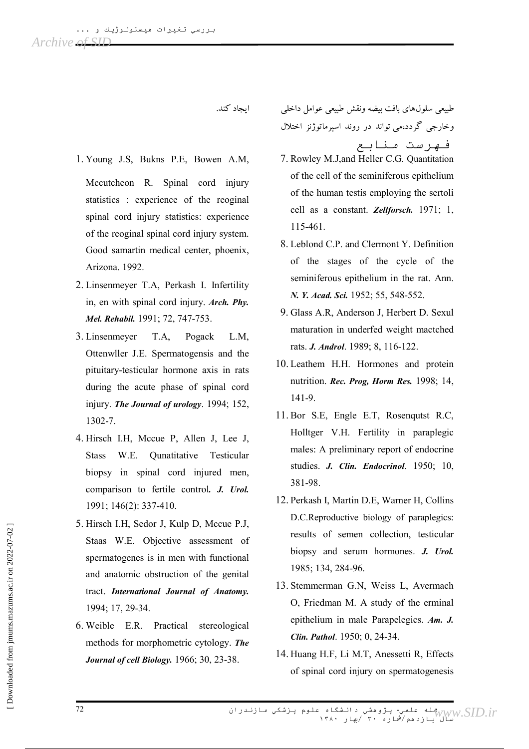اىجاد كند.

- 1. Young J.S, Bukns P.E, Bowen A.M, Mccutcheon R. Spinal cord injury statistics : experience of the reoginal spinal cord injury statistics: experience of the reoginal spinal cord injury system. Good samartin medical center, phoenix, Arizona. 1992.
- 2. Linsenmeyer T.A, Perkash I. Infertility in, en with spinal cord injury. *Arch. Phy.* Mel. Rehabil. 1991; 72, 747-753.
- 3. Linsenmeyer T.A. Pogack L.M. Ottenwller J.E. Spermatogensis and the pituitary-testicular hormone axis in rats during the acute phase of spinal cord injury. The Journal of urology. 1994; 152, 1302-7.
- 4. Hirsch I.H, Mccue P, Allen J, Lee J, W.E. **Ounatitative** Testicular **Stass** biopsy in spinal cord injured men, comparison to fertile control. J. Urol. 1991; 146(2): 337-410.
- 5. Hirsch I.H. Sedor J. Kulp D. Mccue P.J. Staas W.E. Objective assessment of spermatogenes is in men with functional and anatomic obstruction of the genital tract. International Journal of Anatomy. 1994; 17, 29-34.
- 6. Weible E.R. Practical stereological methods for morphometric cytology. The Journal of cell Biology. 1966; 30, 23-38.

طبيعي سلول هاي بافت بيضه ونقش طبيعي عوامل داخلي وخارجی گردد،می تواند در روند اسپرماتوژنز اختلال فهرست منابع

- 7. Rowley M.J,and Heller C.G. Quantitation of the cell of the seminiferous epithelium of the human testis employing the sertoli cell as a constant. Zellforsch. 1971; 1. 115-461.
- 8. Leblond C.P. and Clermont Y. Definition of the stages of the cycle of the seminiferous epithelium in the rat. Ann. N. Y. Acad. Sci. 1952; 55, 548-552.
- 9. Glass A.R. Anderson J. Herbert D. Sexul maturation in underfed weight mactched rats. J. Androl. 1989; 8, 116-122.
- 10. Leathem H.H. Hormones and protein nutrition. Rec. Prog, Horm Res. 1998; 14, 141-9.
- 11. Bor S.E. Engle E.T. Rosenqutst R.C. Holltger V.H. Fertility in paraplegic males: A preliminary report of endocrine studies. J. Clin. Endocrinol. 1950; 10, 381-98.
- 12. Perkash I, Martin D.E, Warner H, Collins D.C.Reproductive biology of paraplegics: results of semen collection, testicular biopsy and serum hormones. J. Urol. 1985; 134, 284-96.
- 13. Stemmerman G.N, Weiss L, Avermach O, Friedman M. A study of the erminal epithelium in male Parapelegics. Am. J. Clin. Pathol. 1950; 0, 24-34.
- 14. Huang H.F. Li M.T. Anessetti R. Effects of spinal cord injury on spermatogenesis